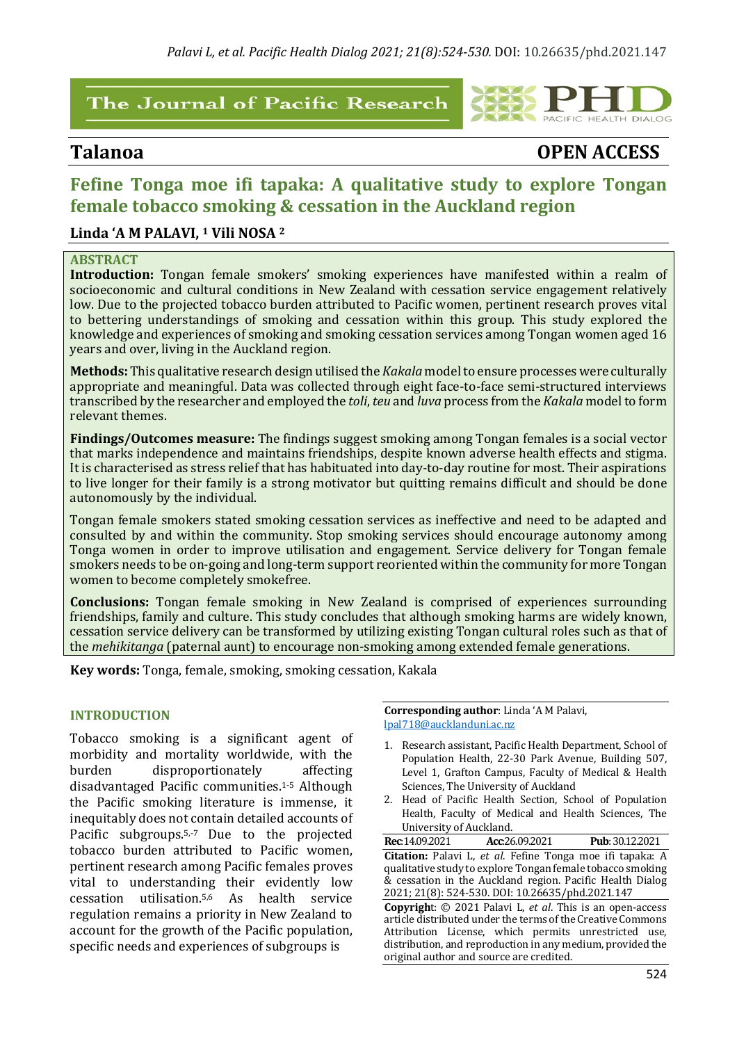## The Journal of Pacific Research



# **Talanoa OPEN ACCESS**

## **Fefine Tonga moe ifi tapaka: A qualitative study to explore Tongan female tobacco smoking & cessation in the Auckland region**

### Linda 'A M PALAVI, <sup>1</sup> Vili NOSA<sup>2</sup>

#### **ABSTRACT**

**Introduction:** Tongan female smokers' smoking experiences have manifested within a realm of socioeconomic and cultural conditions in New Zealand with cessation service engagement relatively low. Due to the projected tobacco burden attributed to Pacific women, pertinent research proves vital to bettering understandings of smoking and cessation within this group. This study explored the knowledge and experiences of smoking and smoking cessation services among Tongan women aged 16 years and over, living in the Auckland region.

**Methods:** This qualitative research design utilised the *Kakala* model to ensure processes were culturally appropriate and meaningful. Data was collected through eight face-to-face semi-structured interviews transcribed by the researcher and employed the *toli*, *teu* and *luva* process from the *Kakala* model to form relevant themes.

**Findings/Outcomes measure:** The findings suggest smoking among Tongan females is a social vector that marks independence and maintains friendships, despite known adverse health effects and stigma. It is characterised as stress relief that has habituated into day-to-day routine for most. Their aspirations to live longer for their family is a strong motivator but quitting remains difficult and should be done autonomously by the individual.

Tongan female smokers stated smoking cessation services as ineffective and need to be adapted and consulted by and within the community. Stop smoking services should encourage autonomy among Tonga women in order to improve utilisation and engagement. Service delivery for Tongan female smokers needs to be on-going and long-term support reoriented within the community for more Tongan women to become completely smokefree.

**Conclusions:** Tongan female smoking in New Zealand is comprised of experiences surrounding friendships, family and culture. This study concludes that although smoking harms are widely known, cessation service delivery can be transformed by utilizing existing Tongan cultural roles such as that of the *mehikitanga* (paternal aunt) to encourage non-smoking among extended female generations.

**Key words:** Tonga, female, smoking, smoking cessation, Kakala

#### **INTRODUCTION**

Tobacco smoking is a significant agent of morbidity and mortality worldwide, with the burden disproportionately affecting disadvantaged Pacific communities.1-5 Although the Pacific smoking literature is immense, it inequitably does not contain detailed accounts of Pacific subgroups.<sup>5,-7</sup> Due to the projected tobacco burden attributed to Pacific women, pertinent research among Pacific females proves vital to understanding their evidently low cessation utilisation.5,6 As health service regulation remains a priority in New Zealand to account for the growth of the Pacific population, specific needs and experiences of subgroups is

**Corresponding author:** Linda 'A M Palavi, lpal718@aucklanduni.ac.nz

- 1. Research assistant, Pacific Health Department, School of Population Health, 22-30 Park Avenue, Building 507, Level 1, Grafton Campus, Faculty of Medical & Health Sciences, The University of Auckland
- 2. Head of Pacific Health Section, School of Population Health, Faculty of Medical and Health Sciences, The University of Auckland.

**Rec**:14.09.2021  **Acc**:26.09.2021 **Pub**:30.12.2021 **Citation:** Palavi L, *et al.* Fefine Tonga moe ifi tapaka: A qualitative study to explore Tongan female tobacco smoking  $\&$  cessation in the Auckland region. Pacific Health Dialog 2021; 21(8): 524-530. DOI: 10.26635/phd.2021.147 **Copyrigh**t: © 2021 Palavi L, *et al*. This is an open-access article distributed under the terms of the Creative Commons

Attribution License, which permits unrestricted use, distribution, and reproduction in any medium, provided the original author and source are credited.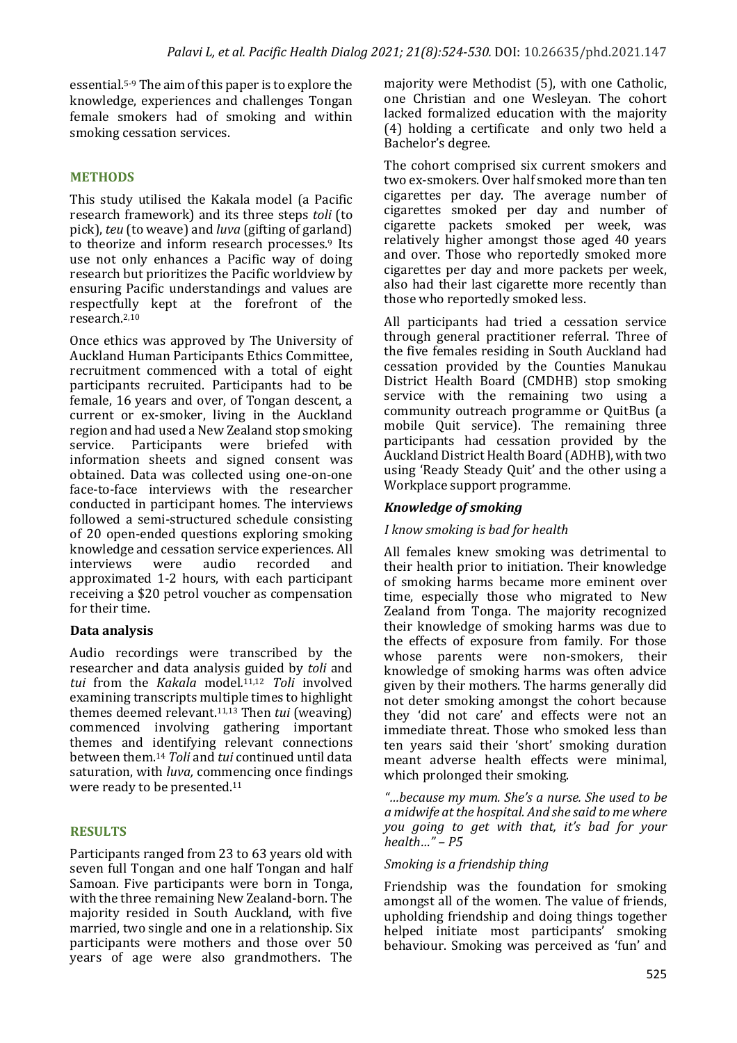essential.<sup>5-9</sup> The aim of this paper is to explore the knowledge, experiences and challenges Tongan female smokers had of smoking and within smoking cessation services.

### **METHODS**

This study utilised the Kakala model (a Pacific research framework) and its three steps *toli* (to pick), *teu* (to weave) and *luva* (gifting of garland) to theorize and inform research processes.<sup>9</sup> Its use not only enhances a Pacific way of doing research but prioritizes the Pacific worldview by ensuring Pacific understandings and values are respectfully kept at the forefront of the research.2,10

Once ethics was approved by The University of Auckland Human Participants Ethics Committee, recruitment commenced with a total of eight participants recruited. Participants had to be female, 16 years and over, of Tongan descent, a current or ex-smoker, living in the Auckland region and had used a New Zealand stop smoking service. Participants were briefed with information sheets and signed consent was obtained. Data was collected using one-on-one face-to-face interviews with the researcher conducted in participant homes. The interviews followed a semi-structured schedule consisting of 20 open-ended questions exploring smoking knowledge and cessation service experiences. All interviews were audio recorded and approximated 1-2 hours, with each participant receiving a \$20 petrol voucher as compensation for their time.

#### **Data analysis**

Audio recordings were transcribed by the researcher and data analysis guided by *toli* and *tui*  from the *Kakala* model*.* 11,12 *Toli*  involved examining transcripts multiple times to highlight themes deemed relevant.<sup>11,13</sup> Then *tui* (weaving) commenced involving gathering important themes and identifying  $relevant$  connections between them.<sup>14</sup> *Toli* and *tui* continued until data saturation, with *luva*, commencing once findings were ready to be presented.<sup>11</sup>

#### **RESULTS**

Participants ranged from 23 to 63 years old with seven full Tongan and one half Tongan and half Samoan. Five participants were born in Tonga, with the three remaining New Zealand-born. The majority resided in South Auckland, with five married, two single and one in a relationship. Six participants were mothers and those over 50 years of age were also grandmothers. The

majority were Methodist (5), with one Catholic, one Christian and one Wesleyan. The cohort lacked formalized education with the majority  $(4)$  holding a certificate and only two held a Bachelor's degree.

The cohort comprised six current smokers and two ex-smokers. Over half smoked more than ten cigarettes per day. The average number of cigarettes smoked per day and number of cigarette packets smoked per week, was relatively higher amongst those aged 40 years and over. Those who reportedly smoked more cigarettes per day and more packets per week, also had their last cigarette more recently than those who reportedly smoked less.

All participants had tried a cessation service through general practitioner referral. Three of the five females residing in South Auckland had cessation provided by the Counties Manukau District Health Board (CMDHB) stop smoking service with the remaining two using a community outreach programme or OuitBus (a mobile Quit service). The remaining three participants had cessation provided by the Auckland District Health Board (ADHB), with two using 'Ready Steady Ouit' and the other using a Workplace support programme.

#### *Knowledge of smoking*

#### *I* know smoking is bad for health

All females knew smoking was detrimental to their health prior to initiation. Their knowledge of smoking harms became more eminent over time, especially those who migrated to New Zealand from Tonga. The majority recognized their knowledge of smoking harms was due to the effects of exposure from family. For those whose parents were non-smokers, their knowledge of smoking harms was often advice given by their mothers. The harms generally did not deter smoking amongst the cohort because they 'did not care' and effects were not an immediate threat. Those who smoked less than ten years said their 'short' smoking duration meant adverse health effects were minimal. which prolonged their smoking.

*"…because my mum. She's a nurse. She used to be a midwife at the hospital. And she said to me where you* going to get with that, it's bad for your *health…" – P5* 

#### *Smoking is a friendship thing*

Friendship was the foundation for smoking amongst all of the women. The value of friends, upholding friendship and doing things together helped initiate most participants' smoking behaviour. Smoking was perceived as 'fun' and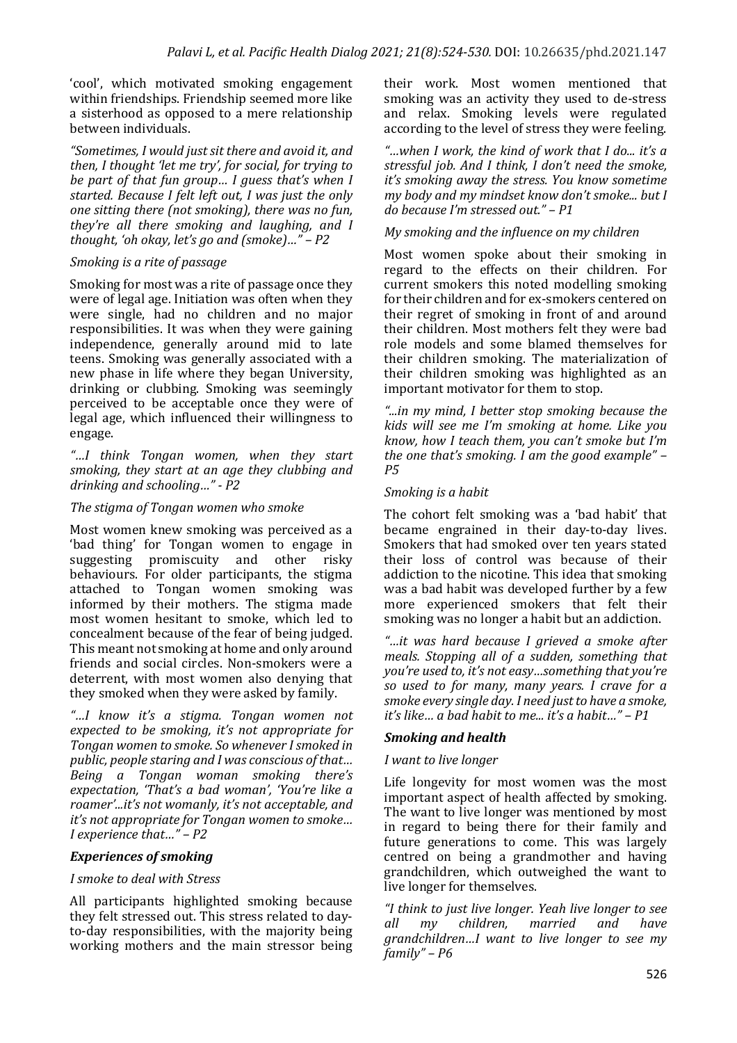'cool', which motivated smoking engagement within friendships. Friendship seemed more like a sisterhood as opposed to a mere relationship between individuals.

"Sometimes, I would just sit there and avoid it, and *then, I thought 'let me try', for social, for trying to be part of that fun group... I guess that's when I started.* Because I felt left out, I was just the only *one sitting there (not smoking), there was no fun, they're all there smoking and laughing, and I thought, 'oh okay, let's go and (smoke)..."* –  $P2$ 

#### *Smoking is a rite of passage*

Smoking for most was a rite of passage once they were of legal age. Initiation was often when they were single, had no children and no major responsibilities. It was when they were gaining independence, generally around mid to late teens. Smoking was generally associated with a new phase in life where they began University, drinking or clubbing. Smoking was seemingly perceived to be acceptable once they were of legal age, which influenced their willingness to engage. 

*"…I think Tongan women, when they start*  smoking, they start at an age they clubbing and drinking and schooling..." - P2

#### The stigma of Tongan women who smoke

Most women knew smoking was perceived as a 'bad thing' for Tongan women to engage in suggesting promiscuity and other risky behaviours. For older participants, the stigma attached to Tongan women smoking was informed by their mothers. The stigma made most women hesitant to smoke, which led to concealment because of the fear of being judged. This meant not smoking at home and only around friends and social circles. Non-smokers were a deterrent, with most women also denying that they smoked when they were asked by family.

*"…I know it's a stigma. Tongan women not*  expected to be smoking, it's not appropriate for *Tongan* women to smoke. So whenever I smoked in public, people staring and I was conscious of that... *Being a Tongan woman smoking there's*  expectation, 'That's a bad woman', 'You're like a roamer'...it's not womanly, it's not acceptable, and *it's* not appropriate for Tongan women to smoke... *I experience that…" – P2*

#### **Experiences of smoking**

#### *I smoke to deal with Stress*

All participants highlighted smoking because they felt stressed out. This stress related to dayto-day responsibilities, with the majority being working mothers and the main stressor being their work. Most women mentioned that smoking was an activity they used to de-stress and relax. Smoking levels were regulated according to the level of stress they were feeling.

*"…when I work, the kind of work that I do... it's a stressful job. And I think, I don't need the smoke, it's* smoking away the stress. You know sometime *my body and my mindset know don't smoke... but I do because I'm stressed out." – P1* 

#### *My smoking and the influence on my children*

Most women spoke about their smoking in regard to the effects on their children. For current smokers this noted modelling smoking for their children and for ex-smokers centered on their regret of smoking in front of and around their children. Most mothers felt they were bad role models and some blamed themselves for their children smoking. The materialization of their children smoking was highlighted as an important motivator for them to stop.

*"...in my mind, I better stop smoking because the kids* will see me I'm smoking at home. Like you know, how I teach them, you can't smoke but I'm *the one that's smoking. I am the good example" – P5*

#### *Smoking is a habit*

The cohort felt smoking was a 'bad habit' that became engrained in their day-to-day lives. Smokers that had smoked over ten years stated their loss of control was because of their addiction to the nicotine. This idea that smoking was a bad habit was developed further by a few more experienced smokers that felt their smoking was no longer a habit but an addiction.

*"…it was hard because I grieved a smoke after meals. Stopping all of a sudden, something that vou're used to, it's not easy something that you're so used to for many, many years.* I crave for a *smoke every single day. I need just to have a smoke. it's* like… *a* had habit to me… *it's* a habit…" – P1

#### **Smoking and health**

#### *I want to live longer*

Life longevity for most women was the most important aspect of health affected by smoking. The want to live longer was mentioned by most in regard to being there for their family and future generations to come. This was largely centred on being a grandmother and having grandchildren, which outweighed the want to live longer for themselves.

*"I think to just live longer. Yeah live longer to see all my children, married and have grandchildren…I want to live longer to see my family" – P6*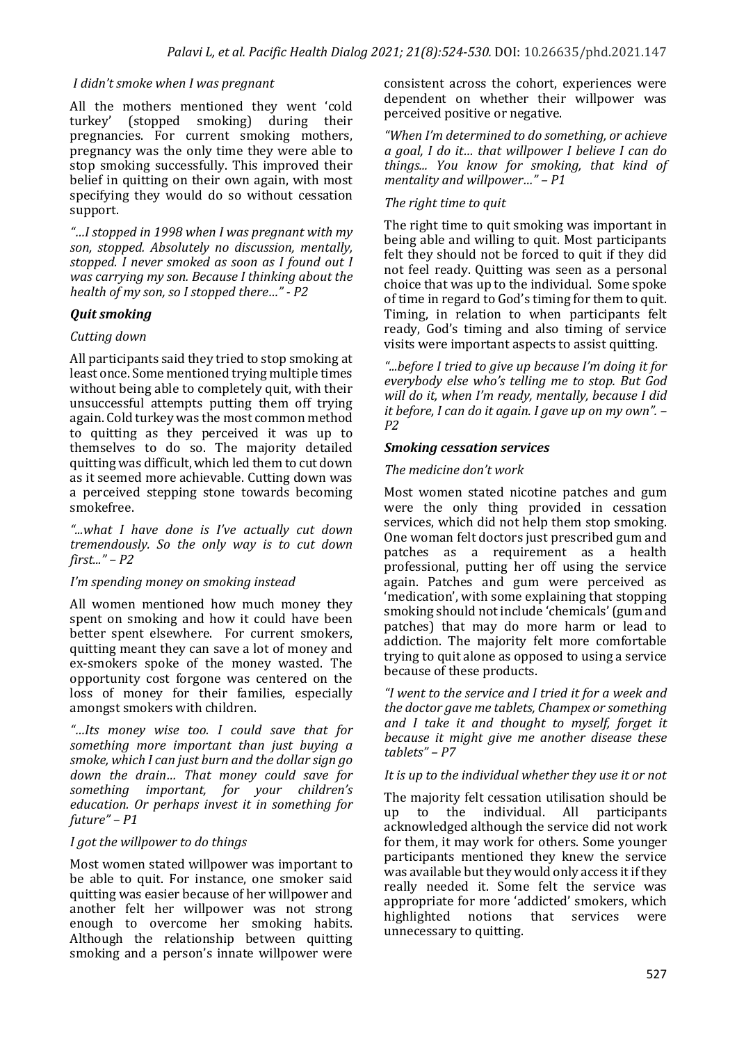#### *I* didn't smoke when *I* was pregnant

All the mothers mentioned they went 'cold turkey' (stopped smoking) during their pregnancies. For current smoking mothers, pregnancy was the only time they were able to stop smoking successfully. This improved their belief in quitting on their own again, with most specifying they would do so without cessation support.

*"…I stopped in 1998 when I was pregnant with my*  son, stopped. Absolutely no discussion, mentally, *stopped. I never smoked as soon as I found out I* was carrying my son. Because I thinking about the *health of my son, so I stopped there..."* - P2

#### **Quit smoking**

#### *Cutting down*

All participants said they tried to stop smoking at least once. Some mentioned trying multiple times without being able to completely quit, with their unsuccessful attempts putting them off trying again. Cold turkey was the most common method to quitting as they perceived it was up to themselves to do so. The majority detailed quitting was difficult, which led them to cut down as it seemed more achievable. Cutting down was a perceived stepping stone towards becoming smokefree. 

*"...what I have done is I've actually cut down tremendously. So the only way is to cut down first..." – P2* 

#### *I'm* spending money on smoking instead

All women mentioned how much money they spent on smoking and how it could have been better spent elsewhere. For current smokers, quitting meant they can save a lot of money and ex-smokers spoke of the money wasted. The opportunity cost forgone was centered on the loss of money for their families, especially amongst smokers with children.

*"…Its money wise too. I could save that for*  something more important than just buying a smoke, which I can just burn and the dollar sign go down the drain... That money could save for *something important, for your children's education.* Or *perhaps invest it in something for future" – P1* 

#### *I* got the willpower to do things

Most women stated willpower was important to be able to quit. For instance, one smoker said quitting was easier because of her willpower and another felt her willpower was not strong enough to overcome her smoking habits. Although the relationship between quitting smoking and a person's innate willpower were consistent across the cohort, experiences were dependent on whether their willpower was perceived positive or negative.

*"When I'm determined to do something, or achieve a goal, I do it… that willpower I believe I can do things... You know for smoking, that kind of*  mentality and willpower..." - P1

#### The right time to quit

The right time to quit smoking was important in being able and willing to quit. Most participants felt they should not be forced to quit if they did not feel ready. Quitting was seen as a personal choice that was up to the individual. Some spoke of time in regard to God's timing for them to quit. Timing, in relation to when participants felt ready, God's timing and also timing of service visits were important aspects to assist quitting.

*"...before I tried to give up because I'm doing it for*  everybody else who's telling me to stop. But God will do it, when I'm ready, mentally, because I did *it before, I can do it again. I gave up on my own".*  $-$ *P2* 

#### *Smoking cessation services*

#### The *medicine* don't work

Most women stated nicotine patches and gum were the only thing provided in cessation services, which did not help them stop smoking. One woman felt doctors just prescribed gum and patches as a requirement as a health professional, putting her off using the service again. Patches and gum were perceived as 'medication', with some explaining that stopping smoking should not include 'chemicals' (gum and patches) that may do more harm or lead to addiction. The majority felt more comfortable trying to quit alone as opposed to using a service because of these products.

*"I went to the service and I tried it for a week and the doctor aave me tablets, Champex or something* and I take it and thought to myself, forget it *because it might give me another disease these* tablets" – P7

#### It is up to the individual whether they use it or not

The majority felt cessation utilisation should be up to the individual. All participants acknowledged although the service did not work for them, it may work for others. Some vounger participants mentioned they knew the service was available but they would only access it if they really needed it. Some felt the service was appropriate for more 'addicted' smokers, which highlighted notions that services were unnecessary to quitting.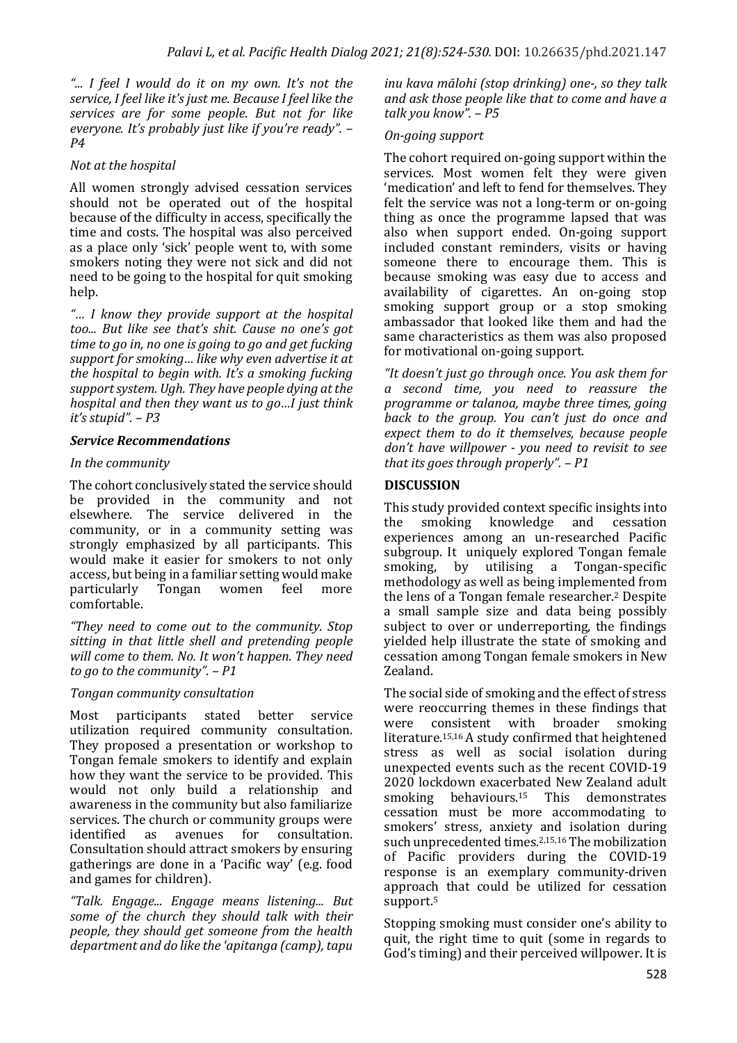*"... I feel I would do it on my own. It's not the*  service, I feel like it's just me. Because I feel like the services are for some people. But not for like *everyone. It's probably just like if you're ready".*  $-$ *P4* 

#### *Not at the hospital*

All women strongly advised cessation services should not be operated out of the hospital because of the difficulty in access, specifically the time and costs. The hospital was also perceived as a place only 'sick' people went to, with some smokers noting they were not sick and did not need to be going to the hospital for quit smoking help.

*"… I know they provide support at the hospital*  too... But like see that's shit. Cause no one's got *time to go in, no one is going to go and get fucking* support for smoking... like why even advertise it at *the hospital to begin with. It's a smoking fucking* support system. Ugh. They have people dying at the *hospital and then they want us to go...I just think it's stupid". – P3*

#### **Service Recommendations**

#### In the community

The cohort conclusively stated the service should be provided in the community and not elsewhere. The service delivered in the community, or in a community setting was strongly emphasized by all participants. This would make it easier for smokers to not only access, but being in a familiar setting would make<br>particularly Tongan women feel more particularly Tongan women feel more comfortable. 

*"They need to come out to the community. Stop*  sitting in that little shell and pretending people will come to them. No. It won't happen. They need *to go to the community".* – P1

#### *Tongan community consultation*

Most participants stated better service utilization required community consultation. They proposed a presentation or workshop to Tongan female smokers to identify and explain how they want the service to be provided. This would not only build a relationship and awareness in the community but also familiarize services. The church or community groups were identified as avenues for consultation. Consultation should attract smokers by ensuring gatherings are done in a 'Pacific way' (e.g. food and games for children).

*"Talk. Engage... Engage means listening... But*  some of the church they should talk with their *people, they should get someone from the health* department and do like the 'apitanga (camp), tapu

*inu kava mālohi (stop drinking)* one-, so they talk and ask those people like that to come and have a *talk you know". – P5* 

#### *On-going support*

The cohort required on-going support within the services. Most women felt they were given 'medication' and left to fend for themselves. They felt the service was not a long-term or on-going thing as once the programme lapsed that was also when support ended. On-going support included constant reminders, visits or having someone there to encourage them. This is because smoking was easy due to access and availability of cigarettes. An on-going stop smoking support group or a stop smoking ambassador that looked like them and had the same characteristics as them was also proposed for motivational on-going support.

"It doesn't just go through once. You ask them for *a second time, you need to reassure the programme or talanoa, maybe three times, going* back to the group. You can't just do once and expect them to do it themselves, because people don't have willpower - you need to revisit to see *that its goes through properly".* – P1

#### **DISCUSSION**

This study provided context specific insights into the smoking knowledge and cessation experiences among an un-researched Pacific subgroup. It uniquely explored Tongan female smoking, by utilising a Tongan-specific methodology as well as being implemented from the lens of a Tongan female researcher.<sup>2</sup> Despite a small sample size and data being possibly subject to over or underreporting, the findings yielded help illustrate the state of smoking and cessation among Tongan female smokers in New Zealand. 

The social side of smoking and the effect of stress were reoccurring themes in these findings that were consistent with broader smoking literature.<sup>15,16</sup> A study confirmed that heightened stress as well as social isolation during unexpected events such as the recent  $COVID-19$  $2020$  lockdown exacerbated New Zealand adult smoking behaviours.<sup>15</sup> This demonstrates smoking behaviours. $15$ cessation must be more accommodating to smokers' stress, anxiety and isolation during such unprecedented times.<sup>2,15,16</sup> The mobilization of Pacific providers during the COVID-19 response is an exemplary community-driven approach that could be utilized for cessation support.5

Stopping smoking must consider one's ability to quit, the right time to quit (some in regards to God's timing) and their perceived willpower. It is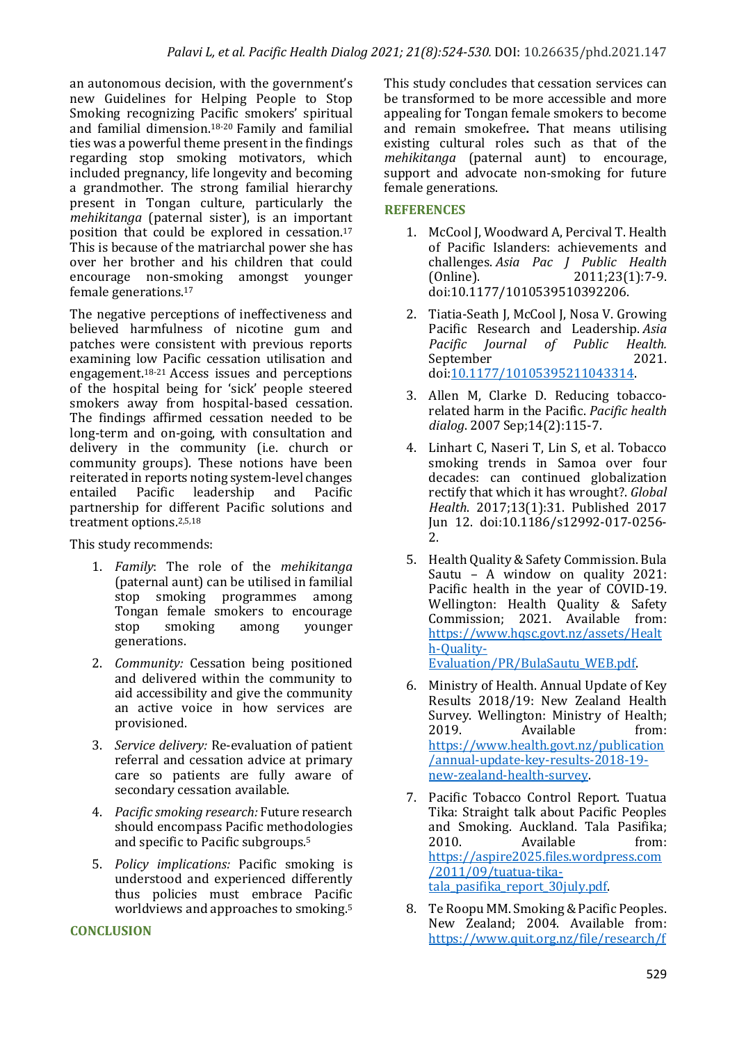an autonomous decision, with the government's new Guidelines for Helping People to Stop Smoking recognizing Pacific smokers' spiritual and familial dimension.<sup>18-20</sup> Family and familial ties was a powerful theme present in the findings regarding stop smoking motivators, which included pregnancy, life longevity and becoming a grandmother. The strong familial hierarchy present in Tongan culture, particularly the *mehikitanga* (paternal sister), is an important position that could be explored in cessation.<sup>17</sup> This is because of the matriarchal power she has over her brother and his children that could encourage non-smoking amongst younger female generations.<sup>17</sup>

The negative perceptions of ineffectiveness and believed harmfulness of nicotine gum and patches were consistent with previous reports examining low Pacific cessation utilisation and engagement.<sup>18-21</sup> Access issues and perceptions of the hospital being for 'sick' people steered smokers away from hospital-based cessation. The findings affirmed cessation needed to be long-term and on-going, with consultation and delivery in the community (i.e. church or community groups). These notions have been reiterated in reports noting system-level changes entailed Pacific leadership and Pacific partnership for different Pacific solutions and treatment options.<sup>2,5,18</sup>

This study recommends:

- 1. *Family*: The role of the *mehikitanga* (paternal aunt) can be utilised in familial stop smoking programmes among Tongan female smokers to encourage stop smoking among younger generations.
- 2. *Community:* Cessation being positioned and delivered within the community to aid accessibility and give the community an active voice in how services are provisioned.
- 3. *Service delivery:* Re-evaluation of patient referral and cessation advice at primary care so patients are fully aware of secondary cessation available.
- 4. *Pacific smoking research:* Future research should encompass Pacific methodologies and specific to Pacific subgroups.<sup>5</sup>
- 5. *Policy implications:*  Pacific smoking is understood and experienced differently thus policies must embrace Pacific worldviews and approaches to smoking. $5$

#### **CONCLUSION**

This study concludes that cessation services can be transformed to be more accessible and more appealing for Tongan female smokers to become and remain smokefree. That means utilising existing cultural roles such as that of the *mehikitanga* (paternal aunt) to encourage, support and advocate non-smoking for future female generations.

#### **REFERENCES**

- 1. McCool J, Woodward A, Percival T. Health of Pacific Islanders: achievements and challenges. *Asia Pac J Public Health* (Online). 2011;23(1):7-9. doi:10.1177/1010539510392206.
- 2. Tiatia-Seath J, McCool J, Nosa V. Growing Pacific Research and Leadership. *Asia Pacific Journal of Public Health.*  September 2021. doi:10.1177/10105395211043314.
- 3. Allen M, Clarke D. Reducing tobaccorelated harm in the Pacific. Pacific health *dialog*. 2007 Sep;14(2):115-7.
- 4. Linhart C, Naseri T, Lin S, et al. Tobacco smoking trends in Samoa over four decades: can continued globalization rectify that which it has wrought?. *Global Health*. 2017;13(1):31. Published 2017 Jun 12. doi:10.1186/s12992-017-0256- 2.
- 5. Health Quality & Safety Commission. Bula Sautu – A window on quality  $2021$ : Pacific health in the year of COVID-19. Wellington: Health Quality & Safety Commission; 2021. Available from: https://www.hqsc.govt.nz/assets/Healt h-Quality-Evaluation/PR/BulaSautu\_WEB.pdf.
- 6. Ministry of Health. Annual Update of Key Results 2018/19: New Zealand Health Survey. Wellington: Ministry of Health; 2019. Available from: https://www.health.govt.nz/publication /annual-update-key-results-2018-19 new-zealand-health-survey.
- 7. Pacific Tobacco Control Report. Tuatua Tika: Straight talk about Pacific Peoples and Smoking. Auckland. Tala Pasifika: 2010. Available from: https://aspire2025.files.wordpress.com /2011/09/tuatua-tikatala\_pasifika\_report\_30july.pdf.
- 8. Te Roopu MM. Smoking & Pacific Peoples. New Zealand; 2004. Available from: https://www.quit.org.nz/file/research/f